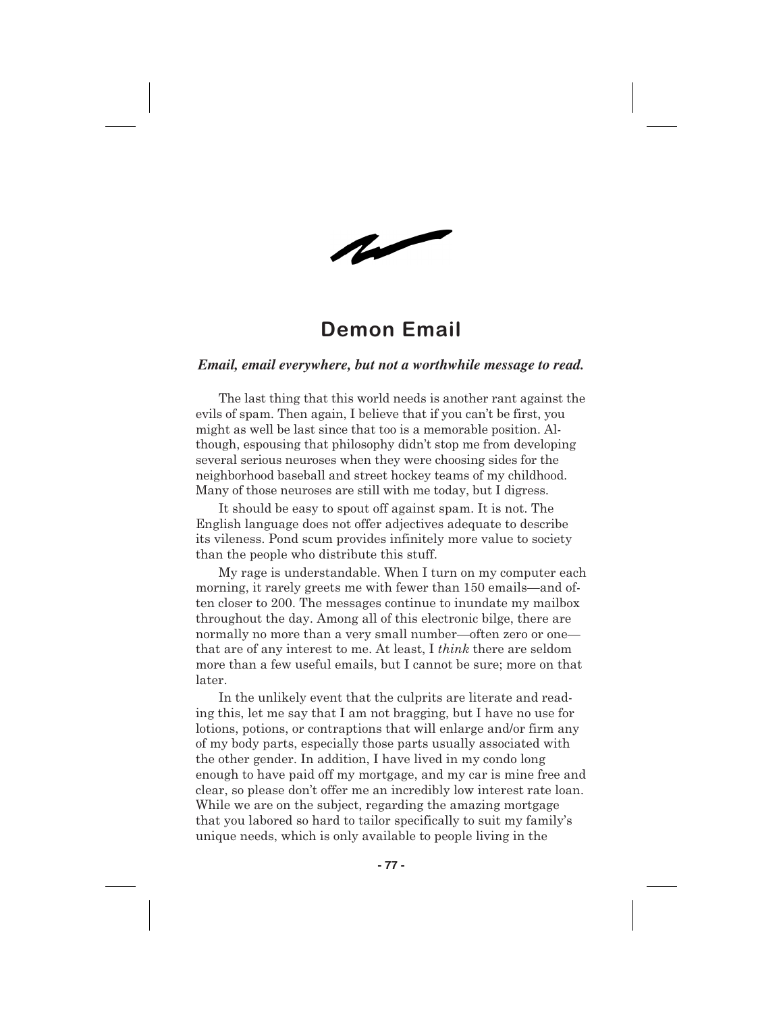$\sim$ 

## **Demon Email**

## *Email, email everywhere, but not a worthwhile message to read.*

The last thing that this world needs is another rant against the evils of spam. Then again, I believe that if you can't be first, you might as well be last since that too is a memorable position. Although, espousing that philosophy didn't stop me from developing several serious neuroses when they were choosing sides for the neighborhood baseball and street hockey teams of my childhood. Many of those neuroses are still with me today, but I digress.

It should be easy to spout off against spam. It is not. The English language does not offer adjectives adequate to describe its vileness. Pond scum provides infinitely more value to society than the people who distribute this stuff.

My rage is understandable. When I turn on my computer each morning, it rarely greets me with fewer than 150 emails—and often closer to 200. The messages continue to inundate my mailbox throughout the day. Among all of this electronic bilge, there are normally no more than a very small number—often zero or one that are of any interest to me. At least, I *think* there are seldom more than a few useful emails, but I cannot be sure; more on that later.

In the unlikely event that the culprits are literate and reading this, let me say that I am not bragging, but I have no use for lotions, potions, or contraptions that will enlarge and/or firm any of my body parts, especially those parts usually associated with the other gender. In addition, I have lived in my condo long enough to have paid off my mortgage, and my car is mine free and clear, so please don't offer me an incredibly low interest rate loan. While we are on the subject, regarding the amazing mortgage that you labored so hard to tailor specifically to suit my family's unique needs, which is only available to people living in the